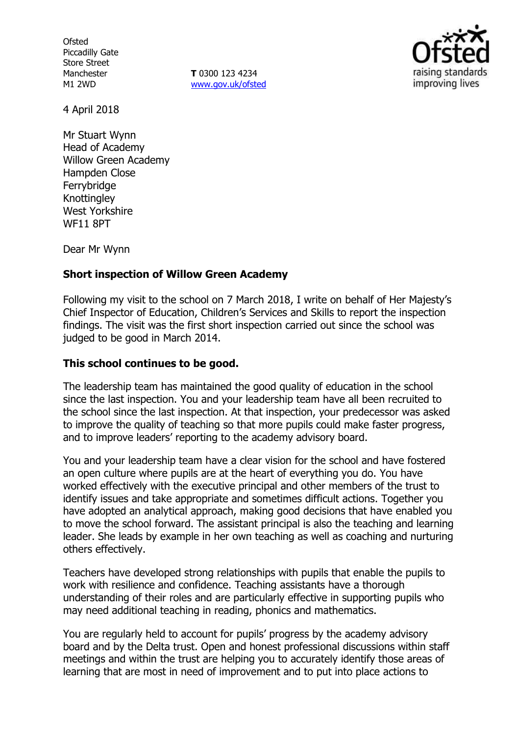**Ofsted** Piccadilly Gate Store Street Manchester M1 2WD

**T** 0300 123 4234 www.gov.uk/ofsted



4 April 2018

Mr Stuart Wynn Head of Academy Willow Green Academy Hampden Close Ferrybridge Knottingley West Yorkshire WF11 8PT

Dear Mr Wynn

## **Short inspection of Willow Green Academy**

Following my visit to the school on 7 March 2018, I write on behalf of Her Majesty's Chief Inspector of Education, Children's Services and Skills to report the inspection findings. The visit was the first short inspection carried out since the school was judged to be good in March 2014.

## **This school continues to be good.**

The leadership team has maintained the good quality of education in the school since the last inspection. You and your leadership team have all been recruited to the school since the last inspection. At that inspection, your predecessor was asked to improve the quality of teaching so that more pupils could make faster progress, and to improve leaders' reporting to the academy advisory board.

You and your leadership team have a clear vision for the school and have fostered an open culture where pupils are at the heart of everything you do. You have worked effectively with the executive principal and other members of the trust to identify issues and take appropriate and sometimes difficult actions. Together you have adopted an analytical approach, making good decisions that have enabled you to move the school forward. The assistant principal is also the teaching and learning leader. She leads by example in her own teaching as well as coaching and nurturing others effectively.

Teachers have developed strong relationships with pupils that enable the pupils to work with resilience and confidence. Teaching assistants have a thorough understanding of their roles and are particularly effective in supporting pupils who may need additional teaching in reading, phonics and mathematics.

You are regularly held to account for pupils' progress by the academy advisory board and by the Delta trust. Open and honest professional discussions within staff meetings and within the trust are helping you to accurately identify those areas of learning that are most in need of improvement and to put into place actions to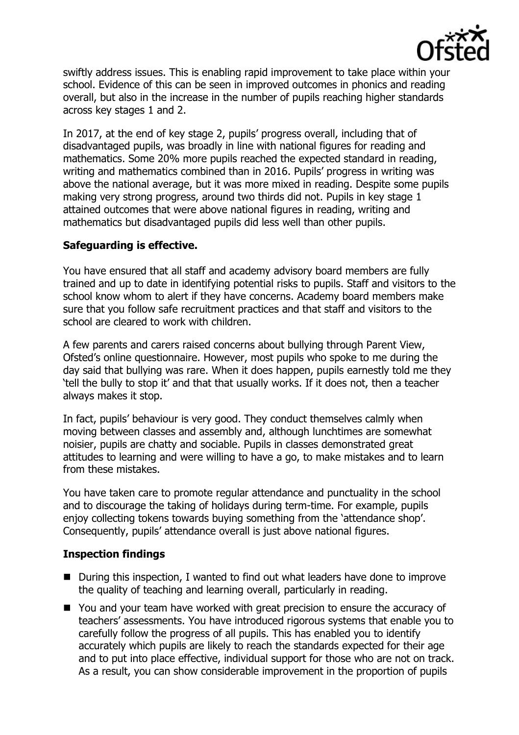

swiftly address issues. This is enabling rapid improvement to take place within your school. Evidence of this can be seen in improved outcomes in phonics and reading overall, but also in the increase in the number of pupils reaching higher standards across key stages 1 and 2.

In 2017, at the end of key stage 2, pupils' progress overall, including that of disadvantaged pupils, was broadly in line with national figures for reading and mathematics. Some 20% more pupils reached the expected standard in reading, writing and mathematics combined than in 2016. Pupils' progress in writing was above the national average, but it was more mixed in reading. Despite some pupils making very strong progress, around two thirds did not. Pupils in key stage 1 attained outcomes that were above national figures in reading, writing and mathematics but disadvantaged pupils did less well than other pupils.

## **Safeguarding is effective.**

You have ensured that all staff and academy advisory board members are fully trained and up to date in identifying potential risks to pupils. Staff and visitors to the school know whom to alert if they have concerns. Academy board members make sure that you follow safe recruitment practices and that staff and visitors to the school are cleared to work with children.

A few parents and carers raised concerns about bullying through Parent View, Ofsted's online questionnaire. However, most pupils who spoke to me during the day said that bullying was rare. When it does happen, pupils earnestly told me they 'tell the bully to stop it' and that that usually works. If it does not, then a teacher always makes it stop.

In fact, pupils' behaviour is very good. They conduct themselves calmly when moving between classes and assembly and, although lunchtimes are somewhat noisier, pupils are chatty and sociable. Pupils in classes demonstrated great attitudes to learning and were willing to have a go, to make mistakes and to learn from these mistakes.

You have taken care to promote regular attendance and punctuality in the school and to discourage the taking of holidays during term-time. For example, pupils enjoy collecting tokens towards buying something from the 'attendance shop'. Consequently, pupils' attendance overall is just above national figures.

# **Inspection findings**

- During this inspection, I wanted to find out what leaders have done to improve the quality of teaching and learning overall, particularly in reading.
- You and your team have worked with great precision to ensure the accuracy of teachers' assessments. You have introduced rigorous systems that enable you to carefully follow the progress of all pupils. This has enabled you to identify accurately which pupils are likely to reach the standards expected for their age and to put into place effective, individual support for those who are not on track. As a result, you can show considerable improvement in the proportion of pupils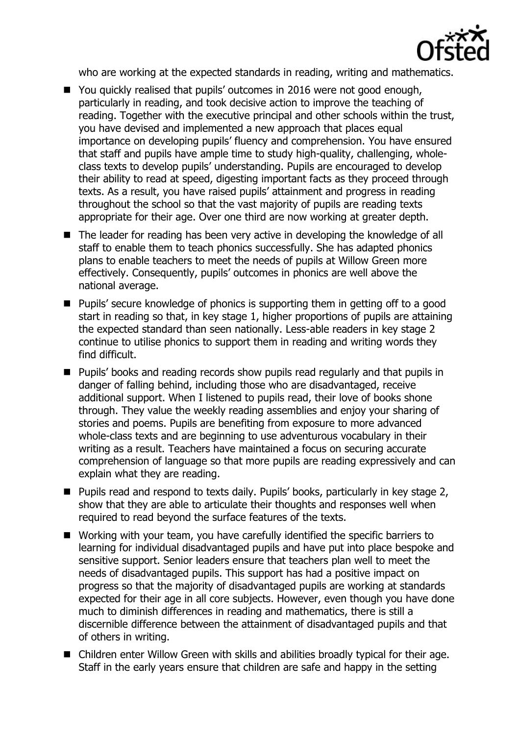

who are working at the expected standards in reading, writing and mathematics.

- You quickly realised that pupils' outcomes in 2016 were not good enough, particularly in reading, and took decisive action to improve the teaching of reading. Together with the executive principal and other schools within the trust, you have devised and implemented a new approach that places equal importance on developing pupils' fluency and comprehension. You have ensured that staff and pupils have ample time to study high-quality, challenging, wholeclass texts to develop pupils' understanding. Pupils are encouraged to develop their ability to read at speed, digesting important facts as they proceed through texts. As a result, you have raised pupils' attainment and progress in reading throughout the school so that the vast majority of pupils are reading texts appropriate for their age. Over one third are now working at greater depth.
- The leader for reading has been very active in developing the knowledge of all staff to enable them to teach phonics successfully. She has adapted phonics plans to enable teachers to meet the needs of pupils at Willow Green more effectively. Consequently, pupils' outcomes in phonics are well above the national average.
- Pupils' secure knowledge of phonics is supporting them in getting off to a good start in reading so that, in key stage 1, higher proportions of pupils are attaining the expected standard than seen nationally. Less-able readers in key stage 2 continue to utilise phonics to support them in reading and writing words they find difficult.
- **Pupils' books and reading records show pupils read regularly and that pupils in** danger of falling behind, including those who are disadvantaged, receive additional support. When I listened to pupils read, their love of books shone through. They value the weekly reading assemblies and enjoy your sharing of stories and poems. Pupils are benefiting from exposure to more advanced whole-class texts and are beginning to use adventurous vocabulary in their writing as a result. Teachers have maintained a focus on securing accurate comprehension of language so that more pupils are reading expressively and can explain what they are reading.
- Pupils read and respond to texts daily. Pupils' books, particularly in key stage 2, show that they are able to articulate their thoughts and responses well when required to read beyond the surface features of the texts.
- Working with your team, you have carefully identified the specific barriers to learning for individual disadvantaged pupils and have put into place bespoke and sensitive support. Senior leaders ensure that teachers plan well to meet the needs of disadvantaged pupils. This support has had a positive impact on progress so that the majority of disadvantaged pupils are working at standards expected for their age in all core subjects. However, even though you have done much to diminish differences in reading and mathematics, there is still a discernible difference between the attainment of disadvantaged pupils and that of others in writing.
- Children enter Willow Green with skills and abilities broadly typical for their age. Staff in the early years ensure that children are safe and happy in the setting